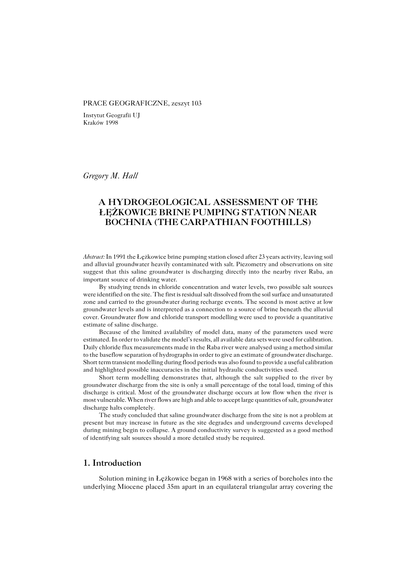#### PRACE GEOGRAFICZNE, zeszyt 103

Instytut Geografii UJ Kraków 1998

*Gregory M. Hall*

# **A HYDROGEOLOGICAL ASSESSMENT OF THE ŁĘŻKOWICE BRINE PUMPING STATION NEAR BOCHNIA (THE CARPATHIAN FOOTHILLS)**

*Abstract:* In 1991 the Łeżkowice brine pumping station closed after 23 years activity, leaving soil and alluvial groundwater heavily contaminated with salt. Piezometry and observations on site suggest that this saline groundwater is discharging directly into the nearby river Raba, an important source of drinking water.

By studying trends in chloride concentration and water levels, two possible salt sources were identified on the site. The first is residual salt dissolved from the soil surface and unsaturated zone and carried to the groundwater during recharge events. The second is most active at low groundwater levels and is interpreted as a connection to a source of brine beneath the alluvial cover. Groundwater flow and chloride transport modelling were used to provide a quantitative estimate of saline discharge.

Because of the limited availability of model data, many of the parameters used were estimated. In order to validate the model's results, all available data sets were used for calibration. Daily chloride flux measurements made in the Raba river were analysed using a method similar to the baseflow separation of hydrographs in order to give an estimate of groundwater discharge. Short term transient modelling during flood periods was also found to provide a useful calibration and highlighted possible inaccuracies in the initial hydraulic conductivities used.

Short term modelling demonstrates that, although the salt supplied to the river by groundwater discharge from the site is only a small percentage of the total load, timing of this discharge is critical. Most of the groundwater discharge occurs at low flow when the river is most vulnerable. When river flows are high and able to accept large quantities of salt, groundwater discharge halts completely.

The study concluded that saline groundwater discharge from the site is not a problem at present but may increase in future as the site degrades and underground caverns developed during mining begin to collapse. A ground conductivity survey is suggested as a good method of identifying salt sources should a more detailed study be required.

# **1. Introduction**

Solution mining in Łężkowice began in 1968 with a series of boreholes into the underlying Miocene placed 35m apart in an equilateral triangular array covering the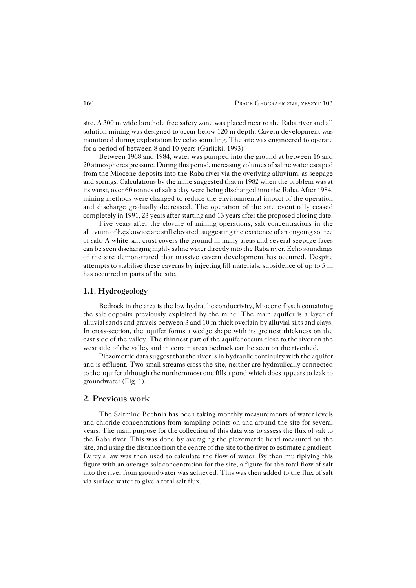site. A 300 m wide borehole free safety zone was placed next to the Raba river and all solution mining was designed to occur below 120 m depth. Cavern development was monitored during exploitation by echo sounding. The site was engineered to operate for a period of between 8 and 10 years (Garlicki, 1993).

Between 1968 and 1984, water was pumped into the ground at between 16 and 20 atmospheres pressure. During this period, increasing volumes of saline water escaped from the Miocene deposits into the Raba river via the overlying alluvium, as seepage and springs. Calculations by the mine suggested that in 1982 when the problem was at its worst, over 60 tonnes of salt a day were being discharged into the Raba. After 1984, mining methods were changed to reduce the environmental impact of the operation and discharge gradually decreased. The operation of the site eventually ceased completely in 1991, 23 years after starting and 13 years after the proposed closing date.

Five years after the closure of mining operations, salt concentrations in the alluvium of Łężkowice are still elevated, suggesting the existence of an ongoing source of salt. A white salt crust covers the ground in many areas and several seepage faces can be seen discharging highly saline water directly into the Raba river. Echo soundings of the site demonstrated that massive cavern development has occurred. Despite attempts to stabilise these caverns by injecting fill materials, subsidence of up to 5 m has occurred in parts of the site.

#### **1.1. Hydrogeology**

Bedrock in the area is the low hydraulic conductivity, Miocene flysch containing the salt deposits previously exploited by the mine. The main aquifer is a layer of alluvial sands and gravels between 3 and 10 m thick overlain by alluvial silts and clays. In cross−section, the aquifer forms a wedge shape with its greatest thickness on the east side of the valley. The thinnest part of the aquifer occurs close to the river on the west side of the valley and in certain areas bedrock can be seen on the riverbed.

Piezometric data suggest that the river is in hydraulic continuity with the aquifer and is effluent. Two small streams cross the site, neither are hydraulically connected to the aquifer although the northernmost one fills a pond which does appears to leak to groundwater (Fig. 1).

## **2. Previous work**

The Saltmine Bochnia has been taking monthly measurements of water levels and chloride concentrations from sampling points on and around the site for several years. The main purpose for the collection of this data was to assess the flux of salt to the Raba river. This was done by averaging the piezometric head measured on the site, and using the distance from the centre of the site to the river to estimate a gradient. Darcy's law was then used to calculate the flow of water. By then multiplying this figure with an average salt concentration for the site, a figure for the total flow of salt into the river from groundwater was achieved. This was then added to the flux of salt via surface water to give a total salt flux.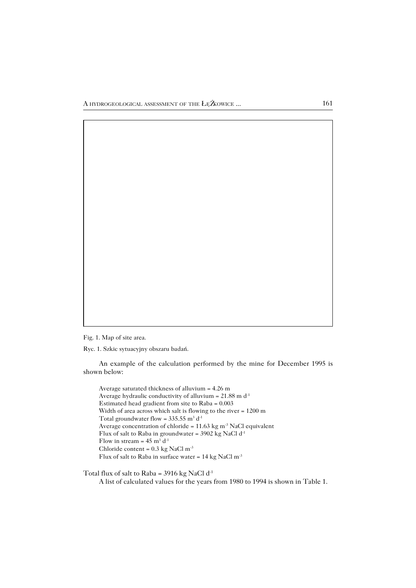Fig. 1. Map of site area.

Ryc. 1. Szkic sytuacyjny obszaru badań.

An example of the calculation performed by the mine for December 1995 is shown below:

Average saturated thickness of alluvium = 4.26 m Average hydraulic conductivity of alluvium =  $21.88$  m d<sup>-1</sup> Estimated head gradient from site to Raba = 0.003 Width of area across which salt is flowing to the river = 1200 m Total groundwater flow =  $335.55$  m<sup>3</sup> d<sup>-1</sup> Average concentration of chloride =  $11.63 \text{ kg m}$ <sup>3</sup> NaCl equivalent Flux of salt to Raba in groundwater = 3902 kg NaCl d<sup>-1</sup> Flow in stream =  $45 \text{ m}^3 \text{ d}^{-1}$ Chloride content =  $0.3$  kg NaCl m<sup>-3</sup> Flux of salt to Raba in surface water = 14 kg NaCl m−3

Total flux of salt to Raba = 3916 kg NaCl  $d^{-1}$ 

A list of calculated values for the years from 1980 to 1994 is shown in Table 1.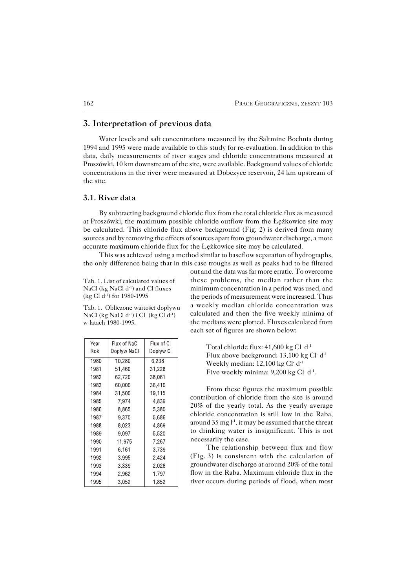## **3. Interpretation of previous data**

Water levels and salt concentrations measured by the Saltmine Bochnia during 1994 and 1995 were made available to this study for re−evaluation. In addition to this data, daily measurements of river stages and chloride concentrations measured at Proszówki, 10 km downstream of the site, were available. Background values of chloride concentrations in the river were measured at Dobczyce reservoir, 24 km upstream of the site.

#### **3.1. River data**

By subtracting background chloride flux from the total chloride flux as measured at Proszówki, the maximum possible chloride outflow from the Łężkowice site may be calculated. This chloride flux above background (Fig. 2) is derived from many sources and by removing the effects of sources apart from groundwater discharge, a more accurate maximum chloride flux for the Łężkowice site may be calculated.

This was achieved using a method similar to baseflow separation of hydrographs, the only difference being that in this case troughs as well as peaks had to be filtered

Tab. 1. List of calculated values of NaCl (kg NaCl d<sup>-1</sup>) and Cl fluxes (kg Cl d−1) for 1980−1995

Tab. 1. Obliczone wartości dopływu NaCl (kg NaCl d−1) i Cl (kg Cl d−1) w latach 1980−1995.

| Year<br>Rok | Flux of NaCl<br>Dopływ NaCl | Flux of Cl<br>Dopływ Cl |
|-------------|-----------------------------|-------------------------|
| 1980        | 10,280                      | 6.238                   |
| 1981        | 51,460                      | 31,228                  |
| 1982        | 62,720                      | 38,061                  |
| 1983        | 60,000                      | 36,410                  |
| 1984        | 31.500                      | 19.115                  |
| 1985        | 7.974                       | 4.839                   |
| 1986        | 8,865                       | 5,380                   |
| 1987        | 9,370                       | 5,686                   |
| 1988        | 8,023                       | 4.869                   |
| 1989        | 9.097                       | 5.520                   |
| 1990        | 11.975                      | 7,267                   |
| 1991        | 6.161                       | 3.739                   |
| 1992        | 3,995                       | 2,424                   |
| 1993        | 3.339                       | 2,026                   |
| 1994        | 2.962                       | 1.797                   |
| 1995        | 3.052                       | 1,852                   |

out and the data was far more erratic. To overcome these problems, the median rather than the minimum concentration in a period was used, and the periods of measurement were increased. Thus a weekly median chloride concentration was calculated and then the five weekly minima of the medians were plotted. Fluxes calculated from each set of figures are shown below:

> Total chloride flux: 41,600 kg Cl<sup>−</sup> d−1 Flux above background: 13,100 kg Cl<sup>−</sup> d−1 Weekly median: 12,100 kg Cl<sup>−</sup> d−1 Five weekly minima: 9,200 kg Cl−d<sup>-1</sup>.

From these figures the maximum possible contribution of chloride from the site is around 20% of the yearly total. As the yearly average chloride concentration is still low in the Raba, around 35 mg l−1, it may be assumed that the threat to drinking water is insignificant. This is not necessarily the case.

The relationship between flux and flow (Fig.3) is consistent with the calculation of groundwater discharge at around 20% of the total flow in the Raba. Maximum chloride flux in the river occurs during periods of flood, when most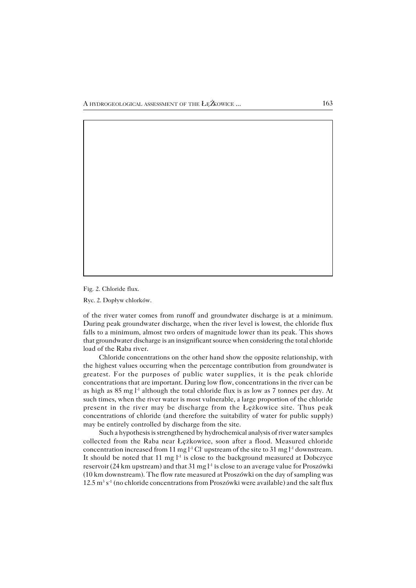Fig. 2. Chloride flux.

Ryc. 2. Dopływ chlorków.

of the river water comes from runoff and groundwater discharge is at a minimum. During peak groundwater discharge, when the river level is lowest, the chloride flux falls to a minimum, almost two orders of magnitude lower than its peak. This shows that groundwater discharge is an insignificant source when considering the total chloride load of the Raba river.

Chloride concentrations on the other hand show the opposite relationship, with the highest values occurring when the percentage contribution from groundwater is greatest. For the purposes of public water supplies, it is the peak chloride concentrations that are important. During low flow, concentrations in the river can be as high as 85mgl−1 although the total chloride flux is as low as 7 tonnes per day. At such times, when the river water is most vulnerable, a large proportion of the chloride present in the river may be discharge from the Łężkowice site. Thus peak concentrations of chloride (and therefore the suitability of water for public supply) may be entirely controlled by discharge from the site.

Such a hypothesis is strengthened by hydrochemical analysis of river water samples collected from the Raba near Łężkowice, soon after a flood. Measured chloride concentration increased from 11 mg  $l^1$  Cl− upstream of the site to 31 mg  $l^1$  downstream. It should be noted that 11 mg l−1 is close to the background measured at Dobczyce reservoir (24 km upstream) and that 31 mg l−1 is close to an average value for Proszówki (10 km downstream). The flow rate measured at Proszówki on the day of sampling was  $12.5 \text{ m}^3 \text{ s}^{-1}$  (no chloride concentrations from Proszówki were available) and the salt flux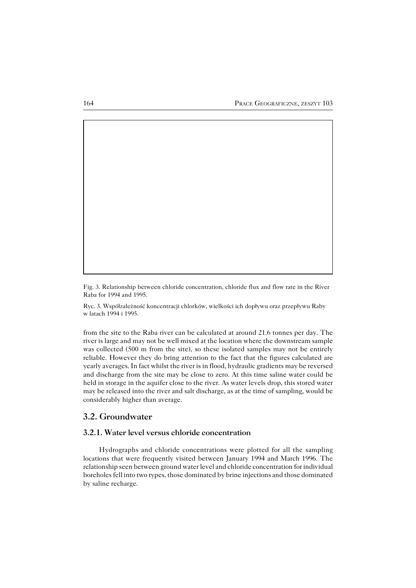Fig. 3. Relationship between chloride concentration, chloride flux and flow rate in the River Raba for 1994 and 1995.

Ryc. 3. Współzależność koncentracji chlorków, wielkości ich dopływu oraz przepływu Raby w latach 1994 i 1995.

from the site to the Raba river can be calculated at around 21.6 tonnes per day. The river is large and may not be well mixed at the location where the downstream sample was collected (500 m from the site), so these isolated samples may not be entirely reliable. However they do bring attention to the fact that the figures calculated are yearly averages. In fact whilst the river is in flood, hydraulic gradients may be reversed and discharge from the site may be close to zero. At this time saline water could be held in storage in the aquifer close to the river. As water levels drop, this stored water may be released into the river and salt discharge, as at the time of sampling, would be considerably higher than average.

## **3.2. Groundwater**

## **3.2.1. Water level versus chloride concentration**

Hydrographs and chloride concentrations were plotted for all the sampling locations that were frequently visited between January 1994 and March 1996. The relationship seen between ground water level and chloride concentration for individual boreholes fell into two types, those dominated by brine injections and those dominated by saline recharge.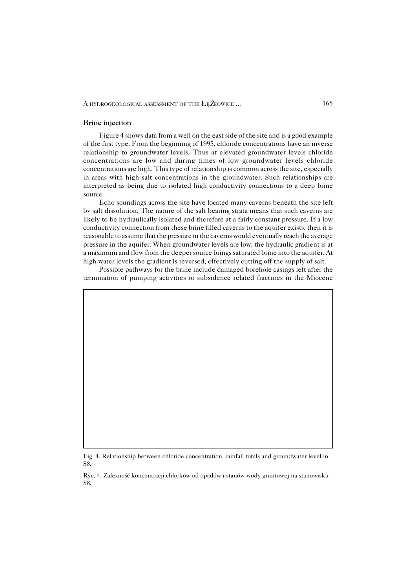#### **Brine injection**

Figure 4 shows data from a well on the east side of the site and is a good example of the first type. From the beginning of 1995, chloride concentrations have an inverse relationship to groundwater levels. Thus at elevated groundwater levels chloride concentrations are low and during times of low groundwater levels chloride concentrations are high. This type of relationship is common across the site, especially in areas with high salt concentrations in the groundwater. Such relationships are interpreted as being due to isolated high conductivity connections to a deep brine source.

Echo soundings across the site have located many caverns beneath the site left by salt dissolution. The nature of the salt bearing strata means that such caverns are likely to be hydraulically isolated and therefore at a fairly constant pressure. If a low conductivity connection from these brine filled caverns to the aquifer exists, then it is reasonable to assume that the pressure in the caverns would eventually reach the average pressure in the aquifer. When groundwater levels are low, the hydraulic gradient is at a maximum and flow from the deeper source brings saturated brine into the aquifer. At high water levels the gradient is reversed, effectively cutting off the supply of salt.

Possible pathways for the brine include damaged borehole casings left after the termination of pumping activities or subsidence related fractures in the Miocene

Fig. 4. Relationship between chloride concentration, rainfall totals and groundwater level in S8.

Ryc. 4. Zależność koncentracji chlorków od opadów i stanów wody gruntowej na stanowisku S8.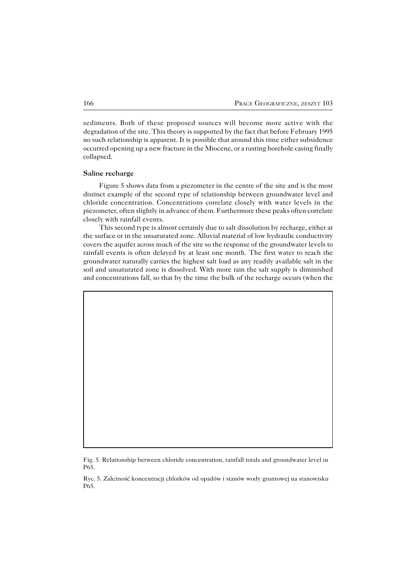sediments. Both of these proposed sources will become more active with the degradation of the site. This theory is supported by the fact that before February 1995 no such relationship is apparent. It is possible that around this time either subsidence occurred opening up a new fracture in the Miocene, or a rusting borehole casing finally collapsed.

#### **Saline recharge**

Figure 5 shows data from a piezometer in the centre of the site and is the most distinct example of the second type of relationship between groundwater level and chloride concentration. Concentrations correlate closely with water levels in the piezometer, often slightly in advance of them. Furthermore these peaks often correlate closely with rainfall events.

This second type is almost certainly due to salt dissolution by recharge, either at the surface or in the unsaturated zone. Alluvial material of low hydraulic conductivity covers the aquifer across much of the site so the response of the groundwater levels to rainfall events is often delayed by at least one month. The first water to reach the groundwater naturally carries the highest salt load as any readily available salt in the soil and unsaturated zone is dissolved. With more rain the salt supply is diminished and concentrations fall, so that by the time the bulk of the recharge occurs (when the

Fig. 5. Relationship between chloride concentration, rainfall totals and groundwater level in P65.

Ryc. 5. Zależność koncentracji chlorków od opadów i stanów wody gruntowej na stanowisku P65.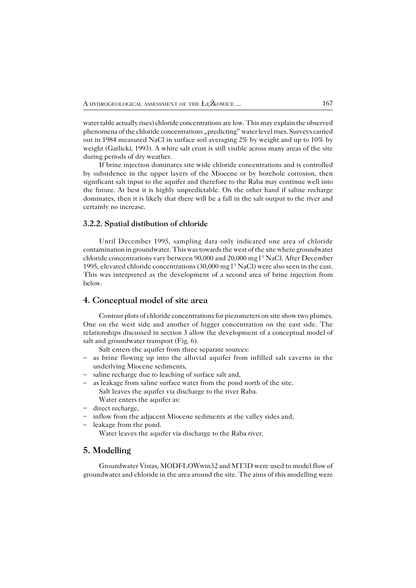water table actually rises) chloride concentrations are low. This may explain the observed phenomena of the chloride concentrations "predicting" water level rises. Surveys carried out in 1984 measured NaCl in surface soil averaging 2% by weight and up to 10% by weight (Garlicki, 1993). A white salt crust is still visible across many areas of the site during periods of dry weather.

If brine injection dominates site wide chloride concentrations and is controlled by subsidence in the upper layers of the Miocene or by borehole corrosion, then significant salt input to the aquifer and therefore to the Raba may continue well into the future. At best it is highly unpredictable. On the other hand if saline recharge dominates, then it is likely that there will be a fall in the salt output to the river and certainly no increase.

#### **3.2.2. Spatial distibution of chloride**

Until December 1995, sampling data only indicated one area of chloride contamination in groundwater. This was towards the west of the site where groundwater chloride concentrations vary between 90,000 and 20,000 mg l−1 NaCl. After December 1995, elevated chloride concentrations (30,000 mg l−1 NaCl) were also seen in the east. This was interpreted as the development of a second area of brine injection from below.

### **4. Conceptual model of site area**

Contour plots of chloride concentrations for piezometers on site show two plumes. One on the west side and another of bigger concentration on the east side. The relationships discussed in section 3 allow the development of a conceptual model of salt and groundwater transport (Fig. 6).

Salt enters the aquifer from three separate sources:

- as brine flowing up into the alluvial aquifer from infilled salt caverns in the underlying Miocene sediments,
- saline recharge due to leaching of surface salt and,
- as leakage from saline surface water from the pond north of the site. Salt leaves the aquifer via discharge to the river Raba. Water enters the aquifer as:
- direct recharge,
- inflow from the adjacent Miocene sediments at the valley sides and,
- leakage from the pond.

Water leaves the aquifer via discharge to the Raba river.

### **5. Modelling**

Groundwater Vistas, MODFLOWwin32 and MT3D were used to model flow of groundwater and chloride in the area around the site. The aims of this modelling were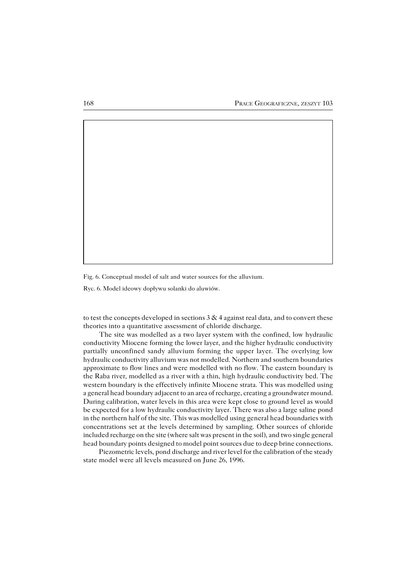Fig. 6. Conceptual model of salt and water sources for the alluvium.

Ryc. 6. Model ideowy dopływu solanki do aluwiów.

to test the concepts developed in sections  $3 \& 4$  against real data, and to convert these theories into a quantitative assessment of chloride discharge.

The site was modelled as a two layer system with the confined, low hydraulic conductivity Miocene forming the lower layer, and the higher hydraulic conductivity partially unconfined sandy alluvium forming the upper layer. The overlying low hydraulic conductivity alluvium was not modelled. Northern and southern boundaries approximate to flow lines and were modelled with no flow. The eastern boundary is the Raba river, modelled as a river with a thin, high hydraulic conductivity bed. The western boundary is the effectively infinite Miocene strata. This was modelled using a general head boundary adjacent to an area of recharge, creating a groundwater mound. During calibration, water levels in this area were kept close to ground level as would be expected for a low hydraulic conductivity layer. There was also a large saline pond in the northern half of the site. This was modelled using general head boundaries with concentrations set at the levels determined by sampling. Other sources of chloride included recharge on the site (where salt was present in the soil), and two single general head boundary points designed to model point sources due to deep brine connections.

Piezometric levels, pond discharge and river level for the calibration of the steady state model were all levels measured on June 26, 1996.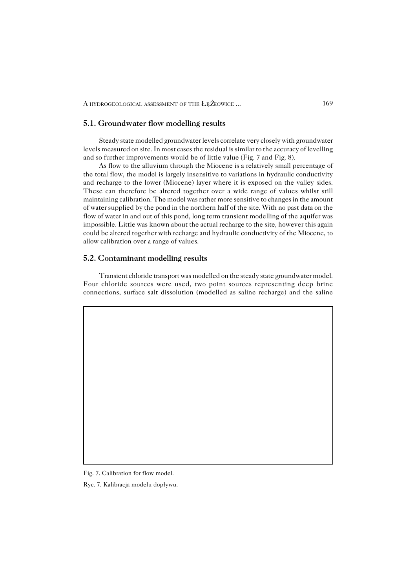## **5.1. Groundwater flow modelling results**

Steady state modelled groundwater levels correlate very closely with groundwater levels measured on site. In most cases the residual is similar to the accuracy of levelling and so further improvements would be of little value (Fig. 7 and Fig. 8).

As flow to the alluvium through the Miocene is a relatively small percentage of the total flow, the model is largely insensitive to variations in hydraulic conductivity and recharge to the lower (Miocene) layer where it is exposed on the valley sides. These can therefore be altered together over a wide range of values whilst still maintaining calibration. The model was rather more sensitive to changes in the amount of water supplied by the pond in the northern half of the site. With no past data on the flow of water in and out of this pond, long term transient modelling of the aquifer was impossible. Little was known about the actual recharge to the site, however this again could be altered together with recharge and hydraulic conductivity of the Miocene, to allow calibration over a range of values.

### **5.2. Contaminant modelling results**

Transient chloride transport was modelled on the steady state groundwater model. Four chloride sources were used, two point sources representing deep brine connections, surface salt dissolution (modelled as saline recharge) and the saline

Fig. 7. Calibration for flow model.

Ryc. 7. Kalibracja modelu dopływu.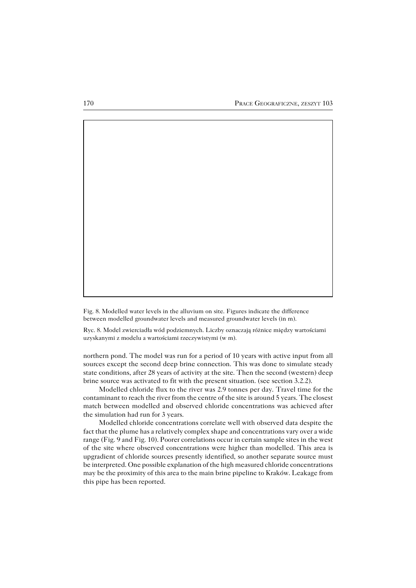Fig. 8. Modelled water levels in the alluvium on site. Figures indicate the difference between modelled groundwater levels and measured groundwater levels (in m).

Ryc. 8. Model zwierciadła wód podziemnych. Liczby oznaczają różnice między wartościami uzyskanymi z modelu a wartościami rzeczywistymi (w m).

northern pond. The model was run for a period of 10 years with active input from all sources except the second deep brine connection. This was done to simulate steady state conditions, after 28 years of activity at the site. Then the second (western) deep brine source was activated to fit with the present situation. (see section 3.2.2).

Modelled chloride flux to the river was 2.9 tonnes per day. Travel time for the contaminant to reach the river from the centre of the site is around 5 years. The closest match between modelled and observed chloride concentrations was achieved after the simulation had run for 3 years.

Modelled chloride concentrations correlate well with observed data despite the fact that the plume has a relatively complex shape and concentrations vary over a wide range (Fig. 9 and Fig. 10). Poorer correlations occur in certain sample sites in the west of the site where observed concentrations were higher than modelled. This area is upgradient of chloride sources presently identified, so another separate source must be interpreted. One possible explanation of the high measured chloride concentrations may be the proximity of this area to the main brine pipeline to Kraków. Leakage from this pipe has been reported.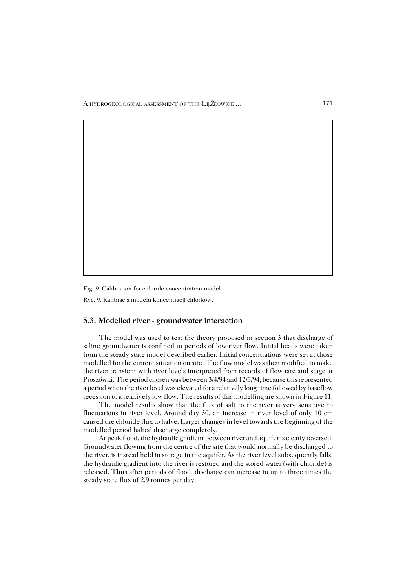Fig. 9. Calibration for chloride concentration model.

Ryc. 9. Kalibracja modelu koncentracji chlorków.

#### **5.3. Modelled river − groundwater interaction**

The model was used to test the theory proposed in section 3 that discharge of saline groundwater is confined to periods of low river flow. Initial heads were taken from the steady state model described earlier. Initial concentrations were set at those modelled for the current situation on site. The flow model was then modified to make the river transient with river levels interpreted from records of flow rate and stage at Proszówki. The period chosen was between 3/4/94 and 12/5/94, because this represented a period when the river level was elevated for a relatively long time followed by baseflow recession to a relatively low flow. The results of this modelling are shown in Figure 11.

The model results show that the flux of salt to the river is very sensitive to fluctuations in river level. Around day 30, an increase in river level of only 10 cm caused the chloride flux to halve. Larger changes in level towards the beginning of the modelled period halted discharge completely.

At peak flood, the hydraulic gradient between river and aquifer is clearly reversed. Groundwater flowing from the centre of the site that would normally be discharged to the river, is instead held in storage in the aquifer. As the river level subsequently falls, the hydraulic gradient into the river is restored and the stored water (with chloride) is released. Thus after periods of flood, discharge can increase to up to three times the steady state flux of 2.9 tonnes per day.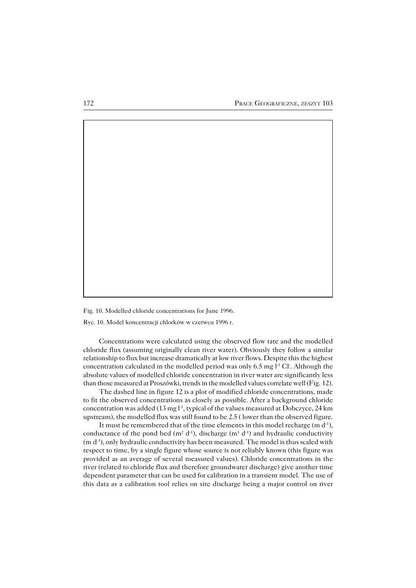Fig. 10. Modelled chloride concentrations for June 1996.

Ryc. 10. Model koncentracji chlorków w czerwcu 1996 r.

Concentrations were calculated using the observed flow rate and the modelled chloride flux (assuming originally clean river water). Obviously they follow a similar relationship to flux but increase dramatically at low river flows. Despite this the highest concentration calculated in the modelled period was only 6.5 mg l<sup>-1</sup> Cl−. Although the absolute values of modelled chloride concentration in river water are significantly less than those measured at Proszówki, trends in the modelled values correlate well (Fig.12).

The dashed line in figure 12 is a plot of modified chloride concentrations, made to fit the observed concentrations as closely as possible. After a background chloride concentration was added (13 mg l−1, typical of the values measured at Dobczyce, 24 km upstream), the modelled flux was still found to be 2.5 ( lower than the observed figure.

It must be remembered that of the time elements in this model recharge (m d−1), conductance of the pond bed ( $m^2 d^{-1}$ ), discharge ( $m^3 d^{-1}$ ) and hydraulic conductivity (md−1), only hydraulic conductivity has been measured. The model is thus scaled with respect to time, by a single figure whose source is not reliably known (this figure was provided as an average of several measured values). Chloride concentrations in the river (related to chloride flux and therefore groundwater discharge) give another time dependent parameter that can be used for calibration in a transient model. The use of this data as a calibration tool relies on site discharge being a major control on river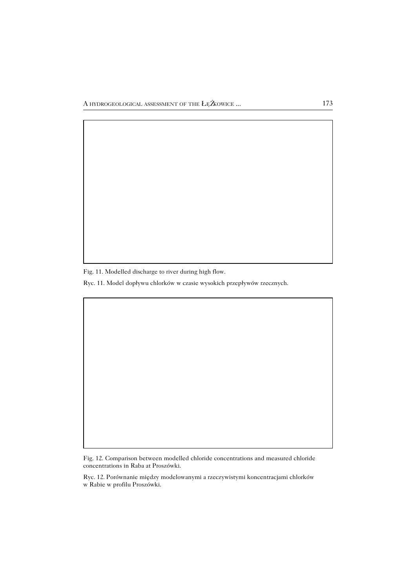Fig. 11. Modelled discharge to river during high flow.

Ryc. 11. Model dopływu chlorków w czasie wysokich przepływów rzecznych.

Fig. 12. Comparison between modelled chloride concentrations and measured chloride concentrations in Raba at Proszówki.

Ryc. 12. Porównanie między modelowanymi a rzeczywistymi koncentracjami chlorków w Rabie w profilu Proszówki.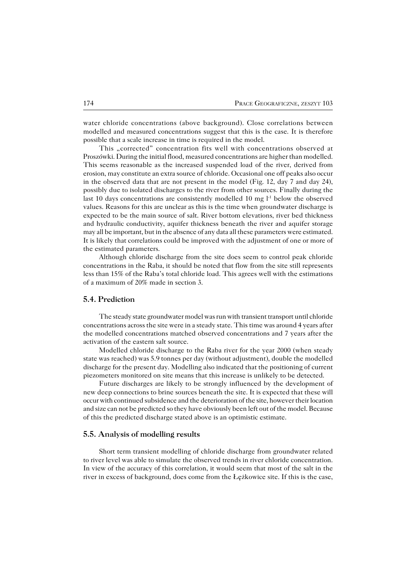water chloride concentrations (above background). Close correlations between modelled and measured concentrations suggest that this is the case. It is therefore possible that a scale increase in time is required in the model.

This "corrected" concentration fits well with concentrations observed at Proszówki. During the initial flood, measured concentrations are higher than modelled. This seems reasonable as the increased suspended load of the river, derived from erosion, may constitute an extra source of chloride. Occasional one off peaks also occur in the observed data that are not present in the model (Fig. 12, day 7 and day 24), possibly due to isolated discharges to the river from other sources. Finally during the last 10 days concentrations are consistently modelled 10 mg l−1 below the observed values. Reasons for this are unclear as this is the time when groundwater discharge is expected to be the main source of salt. River bottom elevations, river bed thickness and hydraulic conductivity, aquifer thickness beneath the river and aquifer storage may all be important, but in the absence of any data all these parameters were estimated. It is likely that correlations could be improved with the adjustment of one or more of the estimated parameters.

Although chloride discharge from the site does seem to control peak chloride concentrations in the Raba, it should be noted that flow from the site still represents less than 15% of the Raba's total chloride load. This agrees well with the estimations of a maximum of 20% made in section 3.

### **5.4. Prediction**

The steady state groundwater model was run with transient transport until chloride concentrations across the site were in a steady state. This time was around 4 years after the modelled concentrations matched observed concentrations and 7 years after the activation of the eastern salt source.

Modelled chloride discharge to the Raba river for the year 2000 (when steady state was reached) was 5.9 tonnes per day (without adjustment), double the modelled discharge for the present day. Modelling also indicated that the positioning of current piezometers monitored on site means that this increase is unlikely to be detected.

Future discharges are likely to be strongly influenced by the development of new deep connections to brine sources beneath the site. It is expected that these will occur with continued subsidence and the deterioration of the site, however their location and size can not be predicted so they have obviously been left out of the model. Because of this the predicted discharge stated above is an optimistic estimate.

#### **5.5. Analysis of modelling results**

Short term transient modelling of chloride discharge from groundwater related to river level was able to simulate the observed trends in river chloride concentration. In view of the accuracy of this correlation, it would seem that most of the salt in the river in excess of background, does come from the Łężkowice site. If this is the case,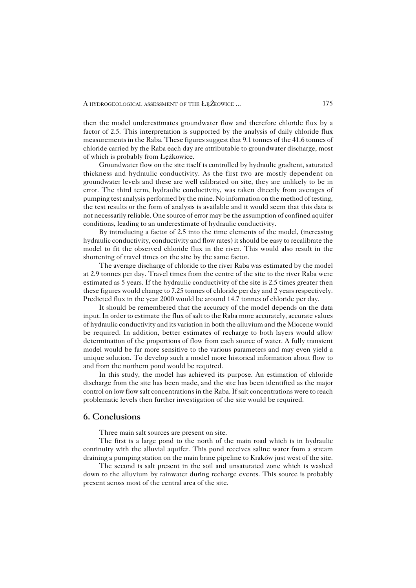then the model underestimates groundwater flow and therefore chloride flux by a factor of 2.5. This interpretation is supported by the analysis of daily chloride flux measurements in the Raba. These figures suggest that 9.1 tonnes of the 41.6 tonnes of chloride carried by the Raba each day are attributable to groundwater discharge, most of which is probably from Łężkowice.

Groundwater flow on the site itself is controlled by hydraulic gradient, saturated thickness and hydraulic conductivity. As the first two are mostly dependent on groundwater levels and these are well calibrated on site, they are unlikely to be in error. The third term, hydraulic conductivity, was taken directly from averages of pumping test analysis performed by the mine. No information on the method of testing, the test results or the form of analysis is available and it would seem that this data is not necessarily reliable. One source of error may be the assumption of confined aquifer conditions, leading to an underestimate of hydraulic conductivity.

By introducing a factor of 2.5 into the time elements of the model, (increasing hydraulic conductivity, conductivity and flow rates) it should be easy to recalibrate the model to fit the observed chloride flux in the river. This would also result in the shortening of travel times on the site by the same factor.

The average discharge of chloride to the river Raba was estimated by the model at 2.9 tonnes per day. Travel times from the centre of the site to the river Raba were estimated as 5 years. If the hydraulic conductivity of the site is 2.5 times greater then these figures would change to 7.25 tonnes of chloride per day and 2 years respectively. Predicted flux in the year 2000 would be around 14.7 tonnes of chloride per day.

It should be remembered that the accuracy of the model depends on the data input. In order to estimate the flux of salt to the Raba more accurately, accurate values of hydraulic conductivity and its variation in both the alluvium and the Miocene would be required. In addition, better estimates of recharge to both layers would allow determination of the proportions of flow from each source of water. A fully transient model would be far more sensitive to the various parameters and may even yield a unique solution. To develop such a model more historical information about flow to and from the northern pond would be required.

In this study, the model has achieved its purpose. An estimation of chloride discharge from the site has been made, and the site has been identified as the major control on low flow salt concentrations in the Raba. If salt concentrations were to reach problematic levels then further investigation of the site would be required.

### **6. Conclusions**

Three main salt sources are present on site.

The first is a large pond to the north of the main road which is in hydraulic continuity with the alluvial aquifer. This pond receives saline water from a stream draining a pumping station on the main brine pipeline to Kraków just west of the site.

The second is salt present in the soil and unsaturated zone which is washed down to the alluvium by rainwater during recharge events. This source is probably present across most of the central area of the site.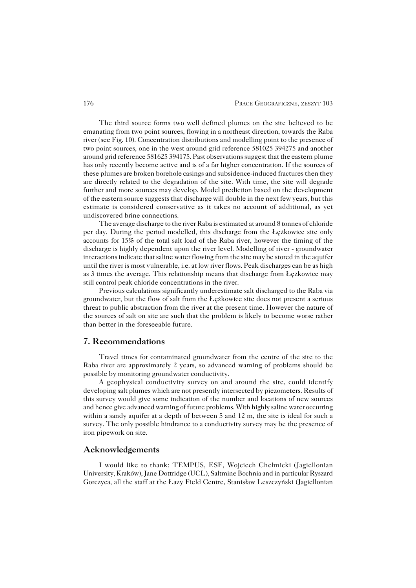The third source forms two well defined plumes on the site believed to be emanating from two point sources, flowing in a northeast direction, towards the Raba river (see Fig. 10). Concentration distributions and modelling point to the presence of two point sources, one in the west around grid reference 581025 394275 and another around grid reference 581625 394175. Past observations suggest that the eastern plume has only recently become active and is of a far higher concentration. If the sources of these plumes are broken borehole casings and subsidence−induced fractures then they are directly related to the degradation of the site. With time, the site will degrade further and more sources may develop. Model prediction based on the development of the eastern source suggests that discharge will double in the next few years, but this estimate is considered conservative as it takes no account of additional, as yet undiscovered brine connections.

The average discharge to the river Raba is estimated at around 8 tonnes of chloride per day. During the period modelled, this discharge from the Łężkowice site only accounts for 15% of the total salt load of the Raba river, however the timing of the discharge is highly dependent upon the river level. Modelling of river − groundwater interactions indicate that saline water flowing from the site may be stored in the aquifer until the river is most vulnerable, i.e. at low river flows. Peak discharges can be as high as 3 times the average. This relationship means that discharge from Łężkowice may still control peak chloride concentrations in the river.

Previous calculations significantly underestimate salt discharged to the Raba via groundwater, but the flow of salt from the Łężkowice site does not present a serious threat to public abstraction from the river at the present time. However the nature of the sources of salt on site are such that the problem is likely to become worse rather than better in the foreseeable future.

## **7. Recommendations**

Travel times for contaminated groundwater from the centre of the site to the Raba river are approximately 2 years, so advanced warning of problems should be possible by monitoring groundwater conductivity.

A geophysical conductivity survey on and around the site, could identify developing salt plumes which are not presently intersected by piezometers. Results of this survey would give some indication of the number and locations of new sources and hence give advanced warning of future problems. With highly saline water occurring within a sandy aquifer at a depth of between 5 and 12 m, the site is ideal for such a survey. The only possible hindrance to a conductivity survey may be the presence of iron pipework on site.

### **Acknowledgements**

I would like to thank: TEMPUS, ESF, Wojciech Chełmicki (Jagiellonian University, Kraków), Jane Dottridge (UCL), Saltmine Bochnia and in particular Ryszard Gorczyca, all the staff at the Łazy Field Centre, Stanisław Leszczyński (Jagiellonian